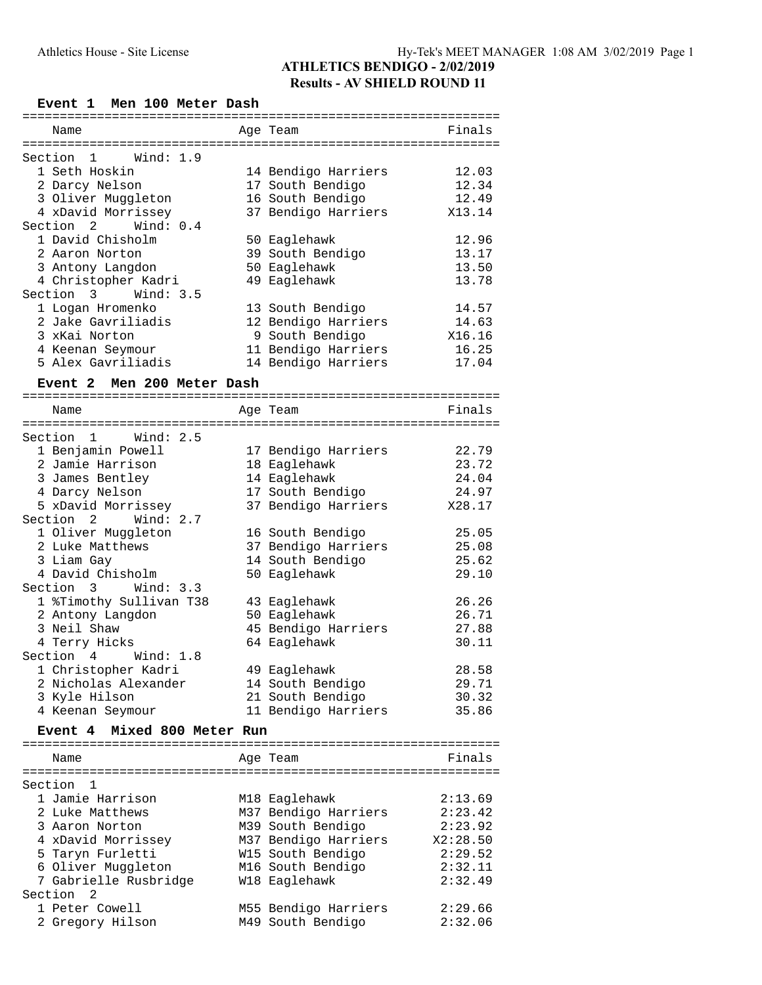## **Event 1 Men 100 Meter Dash**

| Name                        | Age Team             | Finals   |
|-----------------------------|----------------------|----------|
|                             |                      |          |
| Section 1<br>Wind: 1.9      |                      |          |
| 1 Seth Hoskin               | 14 Bendigo Harriers  | 12.03    |
| 2 Darcy Nelson              | 17 South Bendigo     | 12.34    |
| 3 Oliver Muggleton          | 16 South Bendigo     | 12.49    |
| 4 xDavid Morrissey          | 37 Bendigo Harriers  | X13.14   |
| Section 2<br>Wind: $0.4$    |                      |          |
| 1 David Chisholm            | 50 Eaglehawk         | 12.96    |
| 2 Aaron Norton              | 39 South Bendigo     | 13.17    |
| 3 Antony Langdon            | 50 Eaglehawk         | 13.50    |
| 4 Christopher Kadri         | 49 Eaglehawk         | 13.78    |
| Section 3<br>Wind: $3.5$    |                      |          |
| 1 Logan Hromenko            | 13 South Bendigo     | 14.57    |
| 2 Jake Gavriliadis          | 12 Bendigo Harriers  | 14.63    |
| 3 xKai Norton               | 9 South Bendigo      | X16.16   |
| 4 Keenan Seymour            | 11 Bendigo Harriers  | 16.25    |
| 5 Alex Gavriliadis          | 14 Bendigo Harriers  | 17.04    |
|                             |                      |          |
| Event 2 Men 200 Meter Dash  |                      |          |
|                             |                      |          |
| Name                        | Age Team             | Finals   |
| Wind: 2.5                   |                      |          |
| Section 1                   |                      |          |
| 1 Benjamin Powell           | 17 Bendigo Harriers  | 22.79    |
| 2 Jamie Harrison            | 18 Eaglehawk         | 23.72    |
| 3 James Bentley             | 14 Eaglehawk         | 24.04    |
| 4 Darcy Nelson              | 17 South Bendigo     | 24.97    |
| 5 xDavid Morrissey          | 37 Bendigo Harriers  | X28.17   |
| Section 2 Wind: 2.7         |                      |          |
| 1 Oliver Muggleton          | 16 South Bendigo     | 25.05    |
| 2 Luke Matthews             | 37 Bendigo Harriers  | 25.08    |
| 3 Liam Gay                  | 14 South Bendigo     | 25.62    |
| 4 David Chisholm            | 50 Eaglehawk         | 29.10    |
| Section 3 Wind: 3.3         |                      |          |
| 1 %Timothy Sullivan T38     | 43 Eaglehawk         | 26.26    |
| 2 Antony Langdon            | 50 Eaglehawk         | 26.71    |
| 3 Neil Shaw                 |                      |          |
|                             | 45 Bendigo Harriers  | 27.88    |
| 4 Terry Hicks               | 64 Eaglehawk         | 30.11    |
| Section<br>4<br>Wind: 1.8   |                      |          |
| 1 Christopher Kadri         | 49 Eaglehawk         | 28.58    |
| 2 Nicholas Alexander        | 14 South Bendigo     | 29.71    |
| 3 Kyle Hilson               | 21 South Bendigo     | 30.32    |
| 4 Keenan Seymour            | 11 Bendigo Harriers  | 35.86    |
| Event 4 Mixed 800 Meter Run |                      |          |
|                             |                      |          |
| Name                        | Age Team             | Finals   |
|                             |                      |          |
| Section<br>- 1              |                      |          |
| 1 Jamie Harrison            | M18 Eaglehawk        | 2:13.69  |
| 2 Luke Matthews             | M37 Bendigo Harriers | 2:23.42  |
| 3 Aaron Norton              | M39 South Bendigo    | 2:23.92  |
| 4 xDavid Morrissey          | M37 Bendigo Harriers | X2:28.50 |
|                             |                      | 2:29.52  |
| 5 Taryn Furletti            | W15 South Bendigo    |          |
| 6 Oliver Muggleton          | M16 South Bendigo    | 2:32.11  |
| 7 Gabrielle Rusbridge       | W18 Eaglehawk        | 2:32.49  |
| Section <sub>2</sub>        |                      |          |
| 1 Peter Cowell              | M55 Bendigo Harriers | 2:29.66  |
| 2 Gregory Hilson            | M49 South Bendigo    | 2:32.06  |
|                             |                      |          |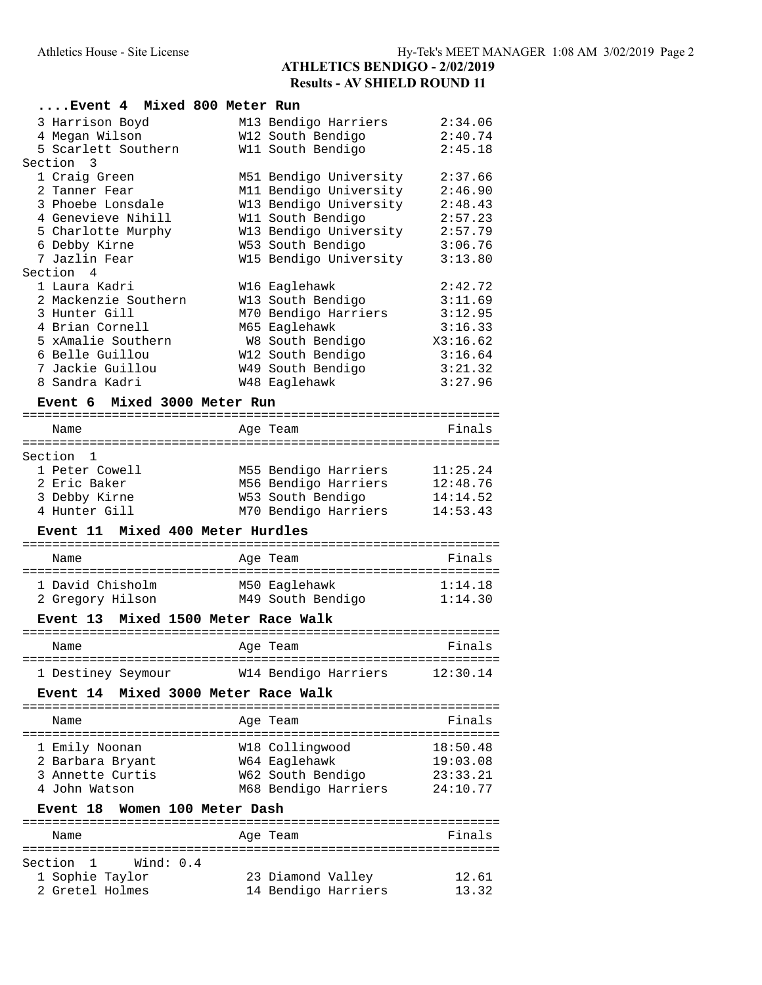| Mixed 800 Meter Run<br>Event 4                |          |                                          |                    |
|-----------------------------------------------|----------|------------------------------------------|--------------------|
| 3 Harrison Boyd                               |          | M13 Bendigo Harriers                     | 2:34.06            |
| 4 Megan Wilson                                |          | W12 South Bendigo                        | 2:40.74            |
| 5 Scarlett Southern                           |          | W11 South Bendigo                        | 2:45.18            |
| Section 3                                     |          |                                          |                    |
| 1 Craig Green                                 |          | M51 Bendigo University                   | 2:37.66            |
| 2 Tanner Fear                                 |          | M11 Bendigo University                   | 2:46.90            |
| 3 Phoebe Lonsdale                             |          | W13 Bendigo University                   | 2:48.43            |
| 4 Genevieve Nihill                            |          | W11 South Bendigo                        | 2:57.23            |
| 5 Charlotte Murphy                            |          | W13 Bendigo University                   | 2:57.79            |
| 6 Debby Kirne<br>7 Jazlin Fear                |          | W53 South Bendigo                        | 3:06.76<br>3:13.80 |
| Section 4                                     |          | W15 Bendigo University                   |                    |
| 1 Laura Kadri                                 |          | W16 Eaglehawk                            | 2:42.72            |
| 2 Mackenzie Southern                          |          | W13 South Bendigo                        | 3:11.69            |
| 3 Hunter Gill                                 |          | M70 Bendigo Harriers                     | 3:12.95            |
| 4 Brian Cornell                               |          | M65 Eaglehawk                            | 3:16.33            |
| 5 xAmalie Southern                            |          | W8 South Bendigo                         | X3:16.62           |
| 6 Belle Guillou                               |          | W12 South Bendigo                        | 3:16.64            |
| 7 Jackie Guillou                              |          | W49 South Bendigo                        | 3:21.32            |
| 8 Sandra Kadri                                |          | W48 Eaglehawk                            | 3:27.96            |
|                                               |          |                                          |                    |
| Mixed 3000 Meter Run<br><b>Event 6</b>        |          |                                          |                    |
| Name                                          |          | Age Team                                 | Finals             |
|                                               |          |                                          |                    |
| Section<br>1                                  |          |                                          |                    |
| 1 Peter Cowell                                |          | M55 Bendigo Harriers                     | 11:25.24           |
| 2 Eric Baker                                  |          | M56 Bendigo Harriers                     | 12:48.76           |
| 3 Debby Kirne                                 |          | W53 South Bendigo                        | 14:14.52           |
| 4 Hunter Gill                                 |          | M70 Bendigo Harriers                     | 14:53.43           |
| Mixed 400 Meter Hurdles<br><b>Event 11</b>    |          |                                          |                    |
|                                               |          |                                          |                    |
| Name                                          |          | Age Team                                 | Finals             |
| 1 David Chisholm                              |          | M50 Eaglehawk                            | 1:14.18            |
| 2 Gregory Hilson                              |          | M49 South Bendigo                        | 1:14.30            |
|                                               |          |                                          |                    |
| Mixed 1500 Meter Race Walk<br><b>Event 13</b> | -------- |                                          |                    |
| Name                                          |          | Age Team                                 | Finals             |
|                                               |          |                                          |                    |
| 1 Destiney Seymour                            |          | W14 Bendigo Harriers                     | 12:30.14           |
| Mixed 3000 Meter Race Walk<br><b>Event 14</b> |          |                                          |                    |
|                                               |          |                                          |                    |
| Name                                          |          | Age Team                                 | Finals             |
|                                               |          |                                          |                    |
| 1 Emily Noonan                                |          | W18 Collingwood                          | 18:50.48           |
| 2 Barbara Bryant                              |          | W64 Eaglehawk                            | 19:03.08           |
| 3 Annette Curtis                              |          | W62 South Bendigo                        | 23:33.21           |
| 4 John Watson                                 |          | M68 Bendigo Harriers                     | 24:10.77           |
| <b>Event 18</b><br>Women 100 Meter Dash       |          |                                          |                    |
|                                               |          |                                          |                    |
| Name                                          |          | Age Team                                 | Finals             |
| :===============                              |          |                                          |                    |
| 1<br>Wind: $0.4$<br>Section                   |          |                                          |                    |
| 1 Sophie Taylor<br>2 Gretel Holmes            |          | 23 Diamond Valley<br>14 Bendigo Harriers | 12.61<br>13.32     |
|                                               |          |                                          |                    |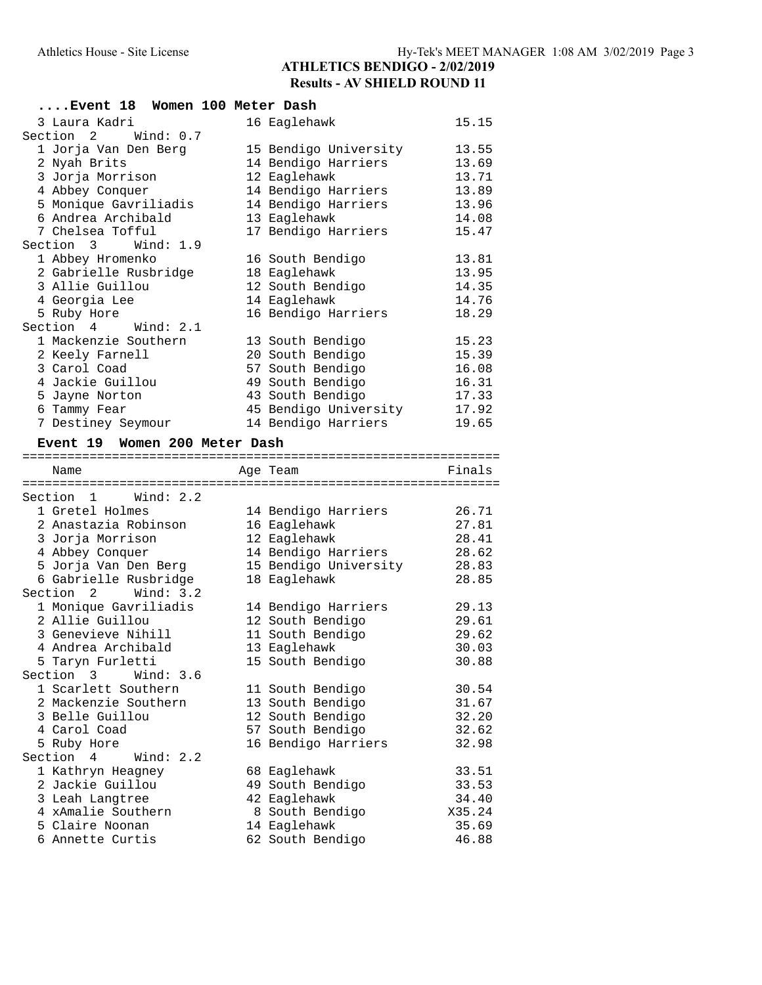| Women 100 Meter Dash<br>$\ldots$ .Event 18              |                                 |                 |
|---------------------------------------------------------|---------------------------------|-----------------|
| 3 Laura Kadri                                           | 16 Eaglehawk                    | 15.15           |
| Section 2<br>Wind: $0.7$                                |                                 |                 |
| 1 Jorja Van Den Berg                                    | 15 Bendigo University           | 13.55           |
| 2 Nyah Brits                                            | 14 Bendigo Harriers             | 13.69           |
| 3 Jorja Morrison                                        | 12 Eaglehawk                    | 13.71           |
| 4 Abbey Conquer                                         | 14 Bendigo Harriers             | 13.89           |
| 5 Monique Gavriliadis                                   | 14 Bendigo Harriers             | 13.96           |
| 6 Andrea Archibald                                      | 13 Eaglehawk                    | 14.08           |
| 7 Chelsea Tofful                                        | 17 Bendigo Harriers             | 15.47           |
| Section 3<br>Wind: $1.9$                                |                                 |                 |
| 1 Abbey Hromenko                                        | 16 South Bendigo                | 13.81           |
| 2 Gabrielle Rusbridge                                   | 18 Eaglehawk                    | 13.95           |
| 3 Allie Guillou                                         | 12 South Bendigo                | 14.35           |
| 4 Georgia Lee                                           | 14 Eaglehawk                    | 14.76           |
| 5 Ruby Hore                                             | 16 Bendigo Harriers             | 18.29           |
| Section 4<br>Wind: 2.1                                  |                                 |                 |
| 1 Mackenzie Southern                                    | 13 South Bendigo                | 15.23           |
| 2 Keely Farnell                                         | 20 South Bendigo                | 15.39           |
| 3 Carol Coad                                            | 57 South Bendigo                | 16.08           |
| 4 Jackie Guillou                                        | 49 South Bendigo                | 16.31           |
| 5 Jayne Norton                                          | 43 South Bendigo                | 17.33           |
| 6 Tammy Fear                                            | 45 Bendigo University           | 17.92           |
| 7 Destiney Seymour                                      | 14 Bendigo Harriers             | 19.65           |
| Event 19 Women 200 Meter Dash                           |                                 |                 |
|                                                         |                                 |                 |
|                                                         | Age Team                        | Finals          |
| Name                                                    |                                 |                 |
|                                                         |                                 |                 |
| Section 1 Wind: 2.2                                     |                                 |                 |
| 1 Gretel Holmes                                         | 14 Bendigo Harriers             | 26.71           |
| 2 Anastazia Robinson                                    | 16 Eaglehawk                    | 27.81           |
| 3 Jorja Morrison                                        | 12 Eaglehawk                    | 28.41           |
| 4 Abbey Conquer                                         | 14 Bendigo Harriers             | 28.62           |
| 5 Jorja Van Den Berg                                    | 15 Bendigo University           | 28.83           |
| 6 Gabrielle Rusbridge                                   | 18 Eaglehawk                    | 28.85           |
| Section 2 Wind: 3.2                                     |                                 |                 |
| 1 Monique Gavriliadis                                   | 14 Bendigo Harriers             | 29.13           |
| 2 Allie Guillou                                         | 12 South Bendigo                | 29.61           |
| 3 Genevieve Nihill                                      | 11 South Bendigo                | 29.62           |
| 4 Andrea Archibald                                      | 13 Eaglehawk                    | 30.03           |
| 5 Taryn Furletti                                        | 15 South Bendigo                | 30.88           |
| Section 3<br>Wind: $3.6$                                |                                 |                 |
| 1 Scarlett Southern                                     | 11 South Bendigo                | 30.54           |
| 2 Mackenzie Southern                                    | 13 South Bendigo                | 31.67           |
| 3 Belle Guillou<br>4 Carol Coad                         | 12 South Bendigo                | 32.20           |
|                                                         | 57 South Bendigo                | 32.62           |
| 5 Ruby Hore<br>$\overline{4}$<br>Section<br>Wind: $2.2$ | 16 Bendigo Harriers             | 32.98           |
|                                                         |                                 |                 |
| 1 Kathryn Heagney<br>2 Jackie Guillou                   | 68 Eaglehawk                    | 33.51           |
| 3 Leah Langtree                                         | 49 South Bendigo                | 33.53           |
| 4 xAmalie Southern                                      | 42 Eaglehawk                    | 34.40           |
| 5 Claire Noonan                                         | 8 South Bendigo<br>14 Eaglehawk | X35.24<br>35.69 |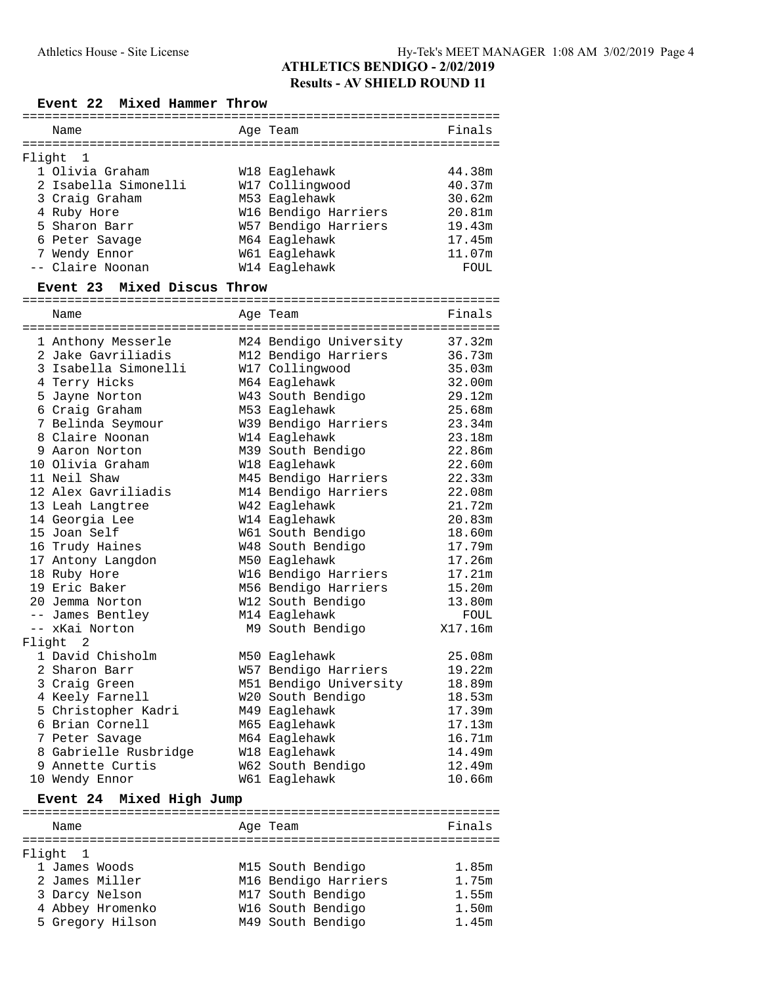## **Event 22 Mixed Hammer Throw**

|        | Name                                  |  | Age Team               | Finals            |  |  |  |
|--------|---------------------------------------|--|------------------------|-------------------|--|--|--|
|        |                                       |  |                        |                   |  |  |  |
| Flight | -1                                    |  |                        |                   |  |  |  |
|        | 1 Olivia Graham                       |  | W18 Eaglehawk          | 44.38m            |  |  |  |
|        | 2 Isabella Simonelli                  |  | W17 Collingwood        | 40.37m            |  |  |  |
|        | 3 Craig Graham                        |  | M53 Eaglehawk          | 30.62m            |  |  |  |
|        | 4 Ruby Hore                           |  | W16 Bendigo Harriers   | 20.81m            |  |  |  |
|        | 5 Sharon Barr                         |  | W57 Bendigo Harriers   | 19.43m            |  |  |  |
|        | 6 Peter Savage                        |  | M64 Eaglehawk          | 17.45m            |  |  |  |
|        | 7 Wendy Ennor                         |  | W61 Eaglehawk          | 11.07m            |  |  |  |
|        | -- Claire Noonan                      |  | W14 Eaglehawk          | FOUL              |  |  |  |
|        | Mixed Discus Throw<br><b>Event 23</b> |  |                        |                   |  |  |  |
|        | Name                                  |  | Age Team               | Finals            |  |  |  |
|        |                                       |  |                        |                   |  |  |  |
|        | 1 Anthony Messerle                    |  | M24 Bendigo University | 37.32m            |  |  |  |
|        | 2 Jake Gavriliadis                    |  | M12 Bendigo Harriers   | 36.73m            |  |  |  |
|        | 3 Isabella Simonelli                  |  | W17 Collingwood        | 35.03m            |  |  |  |
|        | 4 Terry Hicks                         |  | M64 Eaglehawk          | 32.00m            |  |  |  |
|        | 5 Jayne Norton                        |  | W43 South Bendigo      | 29.12m            |  |  |  |
|        | 6 Craig Graham                        |  | M53 Eaglehawk          | 25.68m            |  |  |  |
|        | 7 Belinda Seymour                     |  | W39 Bendigo Harriers   | 23.34m            |  |  |  |
|        | 8 Claire Noonan                       |  | W14 Eaglehawk          | 23.18m            |  |  |  |
|        | 9 Aaron Norton                        |  |                        |                   |  |  |  |
|        |                                       |  | M39 South Bendigo      | 22.86m            |  |  |  |
|        | 10 Olivia Graham                      |  | W18 Eaglehawk          | 22.60m            |  |  |  |
|        | 11 Neil Shaw                          |  | M45 Bendigo Harriers   | 22.33m            |  |  |  |
|        | 12 Alex Gavriliadis                   |  | M14 Bendigo Harriers   | 22.08m            |  |  |  |
|        | 13 Leah Langtree                      |  | W42 Eaglehawk          | 21.72m            |  |  |  |
|        | 14 Georgia Lee                        |  | W14 Eaglehawk          | 20.83m            |  |  |  |
|        | 15 Joan Self                          |  | W61 South Bendigo      | 18.60m            |  |  |  |
|        | 16 Trudy Haines                       |  | W48 South Bendigo      | 17.79m            |  |  |  |
|        | 17 Antony Langdon                     |  | M50 Eaglehawk          | 17.26m            |  |  |  |
|        | 18 Ruby Hore                          |  | W16 Bendigo Harriers   | 17.21m            |  |  |  |
|        | 19 Eric Baker                         |  | M56 Bendigo Harriers   | 15.20m            |  |  |  |
|        | 20 Jemma Norton                       |  | W12 South Bendigo      | 13.80m            |  |  |  |
|        | -- James Bentley                      |  | M14 Eaglehawk          | FOUL              |  |  |  |
|        | -- xKai Norton                        |  | M9 South Bendigo       | X17.16m           |  |  |  |
|        | Flight 2                              |  |                        |                   |  |  |  |
|        | 1 David Chisholm                      |  | M50 Eaglehawk          | 25.08m            |  |  |  |
|        | 2 Sharon Barr                         |  | W57 Bendigo Harriers   | 19.22m            |  |  |  |
|        | 3 Craig Green                         |  | M51 Bendigo University | 18.89m            |  |  |  |
|        | 4 Keely Farnell                       |  | W20 South Bendigo      | 18.53m            |  |  |  |
|        | 5 Christopher Kadri                   |  | M49 Eaglehawk          | 17.39m            |  |  |  |
|        | 6 Brian Cornell                       |  | M65 Eaglehawk          | 17.13m            |  |  |  |
|        | 7 Peter Savage                        |  | M64 Eaglehawk          | 16.71m            |  |  |  |
|        | 8 Gabrielle Rusbridge                 |  | W18 Eaglehawk          | 14.49m            |  |  |  |
|        | 9 Annette Curtis                      |  | W62 South Bendigo      | 12.49m            |  |  |  |
|        | 10 Wendy Ennor                        |  |                        | 10.66m            |  |  |  |
|        |                                       |  | W61 Eaglehawk          |                   |  |  |  |
|        | Event 24 Mixed High Jump              |  |                        |                   |  |  |  |
|        | Name                                  |  | Age Team               | Finals            |  |  |  |
|        |                                       |  |                        |                   |  |  |  |
| Flight | ı                                     |  |                        |                   |  |  |  |
|        | 1 James Woods                         |  | M15 South Bendigo      | 1.85m             |  |  |  |
|        | 2 James Miller                        |  | M16 Bendigo Harriers   | 1.75m             |  |  |  |
|        | 3 Darcy Nelson                        |  | M17 South Bendigo      | 1.55m             |  |  |  |
|        | 4 Abbey Hromenko                      |  | W16 South Bendigo      | 1.50 <sub>m</sub> |  |  |  |
|        | 5 Gregory Hilson                      |  | M49 South Bendigo      | 1.45m             |  |  |  |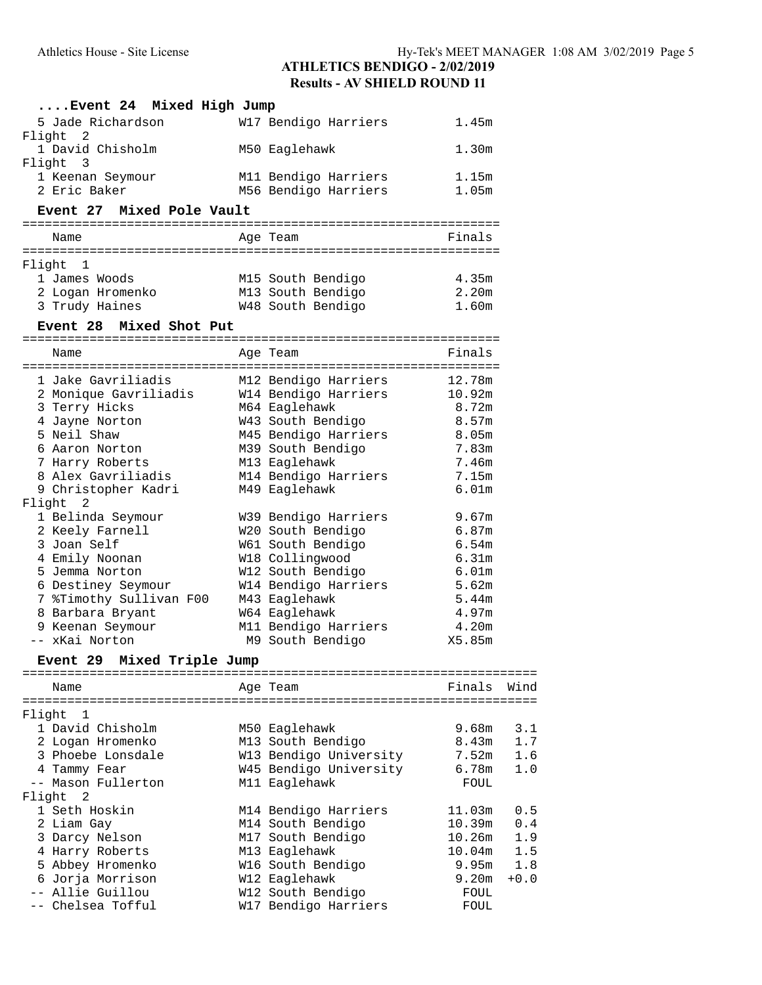| Event 24 Mixed High Jump                              |                                           |                   |            |
|-------------------------------------------------------|-------------------------------------------|-------------------|------------|
| 5 Jade Richardson                                     | W17 Bendigo Harriers                      | 1.45m             |            |
| Flight<br>2<br>1 David Chisholm                       | M50 Eaglehawk                             | 1.30m             |            |
| Flight<br>$\overline{\mathbf{3}}$<br>1 Keenan Seymour | M11 Bendigo Harriers                      | 1.15m             |            |
| 2 Eric Baker                                          | M56 Bendigo Harriers                      | 1.05m             |            |
| Event 27 Mixed Pole Vault                             |                                           |                   |            |
| Name                                                  | Age Team                                  | Finals            |            |
| Flight 1                                              |                                           |                   |            |
| 1 James Woods                                         | M15 South Bendigo                         | 4.35m             |            |
| 2 Logan Hromenko                                      | M13 South Bendigo                         | 2.20m             |            |
| 3 Trudy Haines                                        | W48 South Bendigo                         | 1.60m             |            |
| Event 28 Mixed Shot Put                               |                                           |                   |            |
| Name                                                  | Age Team                                  | Finals            |            |
|                                                       |                                           |                   |            |
| 1 Jake Gavriliadis                                    | M12 Bendigo Harriers                      | 12.78m            |            |
| 2 Monique Gavriliadis                                 | W14 Bendigo Harriers                      | 10.92m            |            |
| 3 Terry Hicks                                         | M64 Eaglehawk                             | 8.72m             |            |
| 4 Jayne Norton                                        | W43 South Bendigo                         | 8.57m             |            |
| 5 Neil Shaw                                           | M45 Bendigo Harriers                      | 8.05m             |            |
| 6 Aaron Norton                                        | M39 South Bendigo                         | 7.83m             |            |
| 7 Harry Roberts                                       | M13 Eaglehawk                             | 7.46m             |            |
| 8 Alex Gavriliadis                                    | M14 Bendigo Harriers                      | 7.15m             |            |
| 9 Christopher Kadri<br>Flight 2                       | M49 Eaglehawk                             | 6.01 <sub>m</sub> |            |
| 1 Belinda Seymour                                     | W39 Bendigo Harriers                      | 9.67m             |            |
| 2 Keely Farnell                                       | W20 South Bendigo                         | 6.87m             |            |
| 3 Joan Self                                           | W61 South Bendigo                         | 6.54m             |            |
| 4 Emily Noonan                                        | W18 Collingwood                           | 6.31m             |            |
| 5 Jemma Norton                                        | W12 South Bendigo                         | 6.01m             |            |
| 6 Destiney Seymour                                    | W14 Bendigo Harriers                      | 5.62m             |            |
| 7 %Timothy Sullivan F00                               | M43 Eaglehawk                             | 5.44m             |            |
| 8 Barbara Bryant                                      | W64 Eaglehawk                             | 4.97m             |            |
| 9 Keenan Seymour                                      | M11 Bendigo Harriers                      | 4.20m             |            |
| -- xKai Norton                                        | M9 South Bendigo                          | X5.85m            |            |
| Event 29 Mixed Triple Jump                            |                                           |                   |            |
| Name                                                  | Age Team                                  | Finals            | Wind       |
|                                                       |                                           |                   |            |
| Flight<br>1                                           |                                           |                   |            |
| 1 David Chisholm                                      | M50 Eaglehawk                             | 9.68m             | 3.1        |
| 2 Logan Hromenko                                      | M13 South Bendigo                         | 8.43m             | 1.7        |
| 3 Phoebe Lonsdale                                     | W13 Bendigo University                    | 7.52m             | 1.6        |
| 4 Tammy Fear                                          | W45 Bendigo University                    | 6.78m             | 1.0        |
| -- Mason Fullerton                                    | M11 Eaglehawk                             | FOUL              |            |
| Flight<br>2<br>1 Seth Hoskin                          |                                           |                   |            |
| 2 Liam Gay                                            | M14 Bendigo Harriers<br>M14 South Bendigo | 11.03m<br>10.39m  | 0.5<br>0.4 |
| 3 Darcy Nelson                                        | M17 South Bendigo                         | 10.26m            | 1.9        |
| 4 Harry Roberts                                       | M13 Eaglehawk                             | 10.04m            | 1.5        |
| 5 Abbey Hromenko                                      | W16 South Bendigo                         | 9.95m             | 1.8        |
| 6 Jorja Morrison                                      | W12 Eaglehawk                             | 9.20m             | $+0.0$     |
| -- Allie Guillou                                      | W12 South Bendigo                         | FOUL              |            |
| -- Chelsea Tofful                                     | W17 Bendigo Harriers                      | ${\tt FOUL}$      |            |
|                                                       |                                           |                   |            |